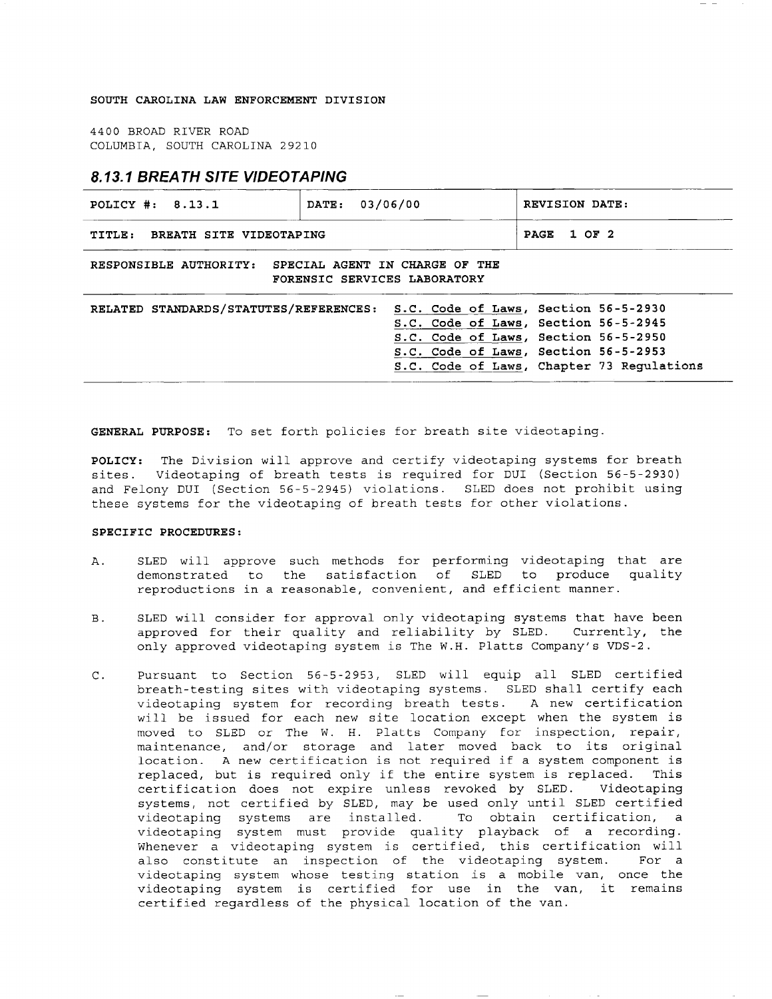## SOUTH CAROLINA LAW ENFORCEMENT DIVISION

4400 BROAD RIVER ROAD COLUMBIA, SOUTH CAROLINA 29210

## **8.13.1 BREATH SITE VIDEOTAPING**

| POLICY #: 8.13.1                                                                         | 03/06/00<br>DATE: |                                                                                                                                                              |  | REVISION DATE:        |                                           |  |
|------------------------------------------------------------------------------------------|-------------------|--------------------------------------------------------------------------------------------------------------------------------------------------------------|--|-----------------------|-------------------------------------------|--|
| BREATH SITE VIDEOTAPING<br>TITLE:                                                        |                   |                                                                                                                                                              |  | 1 OF 2<br><b>PAGE</b> |                                           |  |
| RESPONSIBLE AUTHORITY:<br>SPECIAL AGENT IN CHARGE OF THE<br>FORENSIC SERVICES LABORATORY |                   |                                                                                                                                                              |  |                       |                                           |  |
| RELATED STANDARDS/STATUTES/REFERENCES:                                                   |                   | S.C. Code of Laws, Section 56-5-2930<br>S.C. Code of Laws, Section 56-5-2945<br>S.C. Code of Laws, Section 56-5-2950<br>S.C. Code of Laws, Section 56-5-2953 |  |                       | S.C. Code of Laws, Chapter 73 Regulations |  |

GENERAL PURPOSE: To set forth policies for breath site videotaping.

POLICY: The Division will approve and certify videotaping systems for breath sites. Videotaping of breath tests is required for DUI (Section 56-5-2930) and Felony DUI (Section 56-5-2945) violations. SLED does not prohibit using these systems for the videotaping of breath tests for other violations.

## SPECIFIC PROCEDURES:

- SLED will approve such methods for performing videotaping that are Α. to demonstrated to the satisfaction of SLED produce quality reproductions in a reasonable, convenient, and efficient manner.
- $B.$ SLED will consider for approval only videotaping systems that have been approved for their quality and reliability by SLED. Currently, the only approved videotaping system is The W.H. Platts Company's VDS-2.
- Pursuant to Section 56-5-2953, SLED will equip all SLED certified  $C.$ breath-testing sites with videotaping systems. SLED shall certify each videotaping system for recording breath tests. A new certification will be issued for each new site location except when the system is moved to SLED or The W. H. Platts Company for inspection, repair, maintenance, and/or storage and later moved back to its original location. A new certification is not required if a system component is replaced, but is required only if the entire system is replaced. This certification does not expire unless revoked by SLED. Videotaping systems, not certified by SLED, may be used only until SLED certified videotaping systems are installed. To obtain certification,  $\mathbf{a}$ videotaping system must provide quality playback of a recording. Whenever a videotaping system is certified, this certification will also constitute an inspection of the videotaping system. For a videotaping system whose testing station is a mobile van, once the videotaping system is certified for use in the van, it remains certified regardless of the physical location of the van.